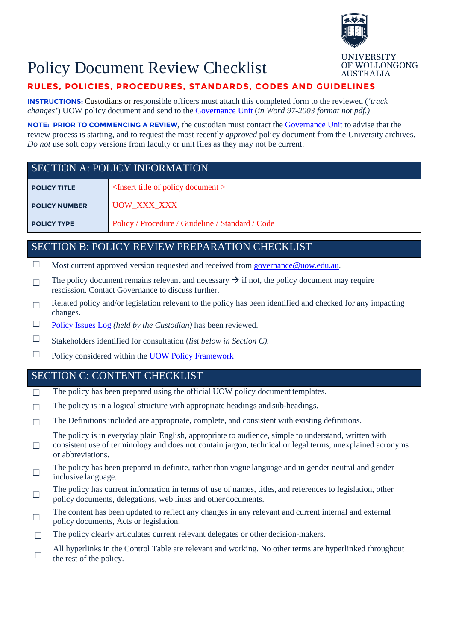

**AUSTRALIA** 

OF WOLLONGONG

# Policy Document Review Checklist

## **RULES, POLICIES, PROCEDURES, STANDARDS, CODES AND GUIDELINES**

**INSTRUCTIONS:** Custodians or responsible officers must attach this completed form to the reviewed (*'track changes'*) UOW policy document and send to th[e Governance Unit](mailto:governance@uow.edu.au) (*in Word 97-2003 format not pdf.)*

**NOTE: PRIOR TO COMMENCING [A REVIEW](http://www.uow.edu.au/about/policy/develop/index.html)**, the custodian must contact the [Governance Unit](mailto:governance@uow.edu.au) to advise that the review process is starting, and to request the most recently *approved* policy document from the University archives. *Do not* use soft copy versions from faculty or unit files as they may not be current.

# SECTION A: POLICY INFORMATION **POLICY TITLE** <Insert title of policy document > POLICY NUMBER UOW\_XXX\_XXX **POLICY TYPE** Policy / Procedure / Guideline / Standard / Code

### SECTION B: POLICY [REVIEW](http://www.uow.edu.au/about/policy/policyreviewschedule/index.html) PREPARATION CHECKLIST

- $\Box$  Most current approved version requested and received from governance @uow.edu.au.
- $\Box$  The policy document remains relevant and necessary  $\rightarrow$  if not, the policy document may require rescission. Contact Governance to discuss further.
- $\Box$  Related policy and/or legislation relevant to the policy has been identified and checked for any impacting changes.
- ☐ [Policy Issues Log](http://www.uow.edu.au/content/idcplg?IdcService=GET_FILE&dDocName=UOW053908&RevisionSelectionMethod=latestReleased) *(held by the Custodian)* has been reviewed.
- ☐ Stakeholders identified for consultation (*list below in Section C).*
- $\Box$  Policy considered within the [UOW Policy](http://www.uow.edu.au/about/policy/about/index.html) Framework

### SECTION C: CONTENT CHECKLIST

- □ The policy has been prepared using the official UOW policy document templates.
- $\Box$  The policy is in a logical structure with appropriate headings and sub-headings.
- $\Box$  The Definitions included are appropriate, complete, and consistent with existing definitions.

The policy is in everyday plain English, appropriate to audience, simple to understand, written with

- $\Box$ consistent use of terminology and does not contain jargon, technical or legal terms, unexplained acronyms or abbreviations.
- The policy has been prepared in definite, rather than vague language and in gender neutral and gender  $\Box$ inclusive language.
- The policy has current information in terms of use of names, titles, and references to legislation, other policy documents, delegations, web links and otherdocuments.
- The content has been updated to reflect any changes in any relevant and current internal and external  $\Box$ policy documents, Acts or legislation.
- $\Box$  The policy clearly articulates current relevant delegates or other decision-makers.
- All hyperlinks in the Control Table are relevant and working. No other terms are hyperlinked throughout  $\Box$  the rest of the reliance the rest of the policy.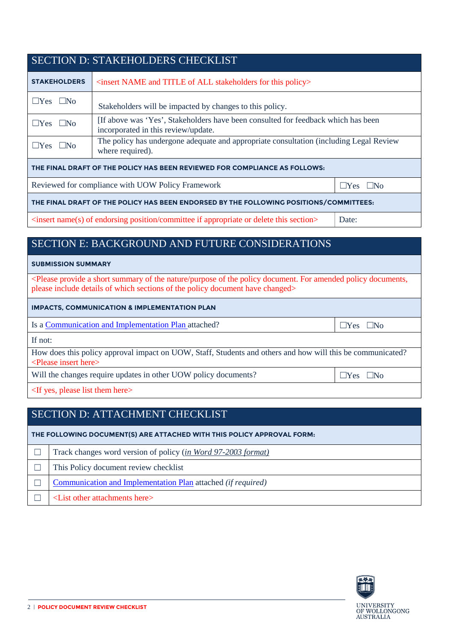| <b>SECTION D: STAKEHOLDERS CHECKLIST</b>                                               |                                                                                                                         |  |  |  |
|----------------------------------------------------------------------------------------|-------------------------------------------------------------------------------------------------------------------------|--|--|--|
| <b>STAKEHOLDERS</b>                                                                    | <insert all="" and="" for="" name="" of="" policy="" stakeholders="" this="" title=""></insert>                         |  |  |  |
| $\Box$ Yes $\Box$ No                                                                   | Stakeholders will be impacted by changes to this policy.                                                                |  |  |  |
| $\Box$ Yes $\Box$ No                                                                   | If above was 'Yes', Stakeholders have been consulted for feedback which has been<br>incorporated in this review/update. |  |  |  |
| $\Box$ Yes $\Box$ No                                                                   | The policy has undergone adequate and appropriate consultation (including Legal Review<br>where required).              |  |  |  |
| THE FINAL DRAFT OF THE POLICY HAS BEEN REVIEWED FOR COMPLIANCE AS FOLLOWS:             |                                                                                                                         |  |  |  |
| Reviewed for compliance with UOW Policy Framework<br>$\Box$ Yes $\Box$ No              |                                                                                                                         |  |  |  |
| THE FINAL DRAFT OF THE POLICY HAS BEEN ENDORSED BY THE FOLLOWING POSITIONS/COMMITTEES: |                                                                                                                         |  |  |  |

<insert name(s) of endorsing position/committee if appropriate or delete this section> Date:

## SECTION E: BACKGROUND AND FUTURE CONSIDERATIONS

### **SUBMISSION SUMMARY**

<Please provide a short summary of the nature/purpose of the policy document. For amended policy documents, please include details of which sections of the policy document have changed>

### **IMPACTS, COMMUNICATION & IMPLEMENTATION PLAN**

Is a Communication [and Implementation](http://www.uow.edu.au/about/policy/communicate/index.html) Plan attached? ☐Yes ☐No

If not:

How does this policy approval impact on UOW, Staff, Students and others and how will this be communicated? <Please insert here>

Will the changes require updates in other UOW policy documents? ☐Yes ☐No

<If yes, please list them here>

## SECTION D: ATTACHMENT CHECKLIST

**THE FOLLOWING DOCUMENT(S) ARE ATTACHED WITH THIS POLICY APPROVAL FORM:**

| Track changes word version of policy (in Word 97-2003 format)       |
|---------------------------------------------------------------------|
| This Policy document review checklist                               |
| Communication and Implementation Plan attached <i>(if required)</i> |
| $\leq$ List other attachments here $>$                              |